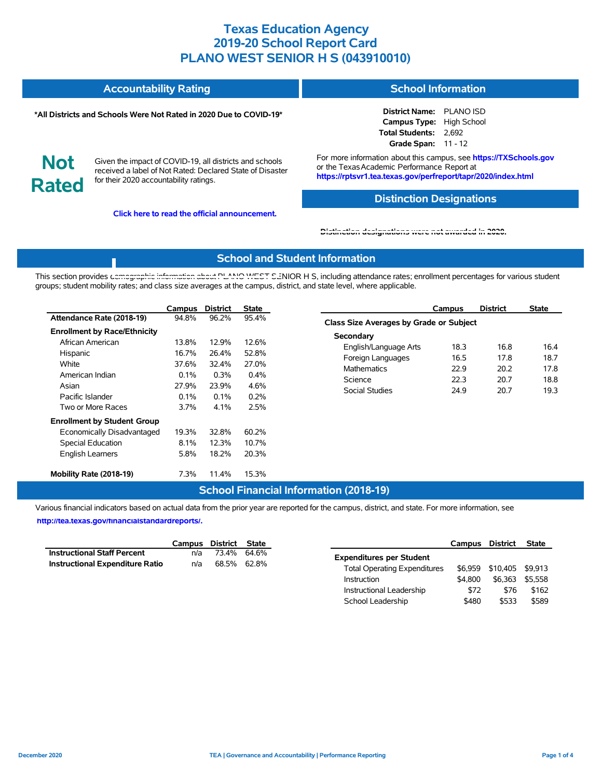| <b>Accountability Rating</b> | <b>School Information</b> |
|------------------------------|---------------------------|
|                              |                           |

#### **\*All Districts and Schools Were Not Rated in 2020 Due to COVID-19\***

| <b>District Name:</b> | <b>PLANO ISD</b>   |
|-----------------------|--------------------|
| <b>Campus Type:</b>   | <b>High School</b> |
| Total Students:       | 2.692              |
| <b>Grade Span:</b>    | $11 - 12$          |

**Not Rated**

Given the impact of COVID-19, all districts and schools received a label of Not Rated: Declared State of Disaster for their 2020 accountability ratings.

**Click here to read the official announcement.**

For more information about this campus, see **https://TXSchools.gov** or the Texas Academic Performance Report at **https://rptsvr1.tea.texas.gov/perfreport/tapr/2020/index.html**

#### **Distinction Designations**

Instructional Leadership  $$72$  \$76 \$162 School Leadership \$480 \$533 \$589

**[Distinction designations were not awarded in 2020.](https://rptsvr1.tea.texas.gov/perfreport/tapr/2020/index.html)**

### **School and Student Information**

This section provides [demographic information about PLANO WEST SE](https://tea.texas.gov/about-tea/news-and-multimedia/correspondence/taa-letters/every-student-succeeds-act-essa-waiver-approval-2020-state-academic-accountability)NIOR H S, including attendance rates; enrollment percentages for various student groups; student mobility rates; and class size averages at the campus, district, and state level, where applicable.

|                                                                                                                                                   | Campus                                                   | <b>District</b>                                          | <b>State</b>                                            | <b>District</b><br>Campus                                                                                                                          | <b>State</b>                                                                 |  |  |  |  |  |  |
|---------------------------------------------------------------------------------------------------------------------------------------------------|----------------------------------------------------------|----------------------------------------------------------|---------------------------------------------------------|----------------------------------------------------------------------------------------------------------------------------------------------------|------------------------------------------------------------------------------|--|--|--|--|--|--|
| Attendance Rate (2018-19)                                                                                                                         | 94.8%                                                    | 96.2%                                                    | 95.4%                                                   | Class Size Averages by Grade or Subject                                                                                                            |                                                                              |  |  |  |  |  |  |
| <b>Enrollment by Race/Ethnicity</b><br>African American<br>Hispanic<br>White<br>American Indian<br>Asian<br>Pacific Islander<br>Two or More Races | 13.8%<br>16.7%<br>37.6%<br>0.1%<br>27.9%<br>0.1%<br>3.7% | 12.9%<br>26.4%<br>32.4%<br>0.3%<br>23.9%<br>0.1%<br>4.1% | 12.6%<br>52.8%<br>27.0%<br>0.4%<br>4.6%<br>0.2%<br>2.5% | Secondary<br>18.3<br>English/Language Arts<br>16.5<br>Foreign Languages<br><b>Mathematics</b><br>22.9<br>Science<br>22.3<br>Social Studies<br>24.9 | 16.8<br>16.4<br>18.7<br>17.8<br>20.2<br>17.8<br>18.8<br>20.7<br>19.3<br>20.7 |  |  |  |  |  |  |
| <b>Enrollment by Student Group</b><br>Economically Disadvantaged<br>Special Education<br><b>English Learners</b><br>Mobility Rate (2018-19)       | 19.3%<br>8.1%<br>5.8%<br>7.3%                            | 32.8%<br>12.3%<br>18.2%<br>11.4%                         | 60.2%<br>10.7%<br>20.3%<br>15.3%                        |                                                                                                                                                    |                                                                              |  |  |  |  |  |  |

### **School Financial Information (2018-19)**

Various financial indicators based on actual data from the prior year are reported for the campus, district, and state. For more information, see

**[http://tea.texas.gov/financialstandardreports/.](http://tea.texas.gov/financialstandardreports/)**

|                                    |     | Campus District State | Campus                                         | District         | <b>State</b> |
|------------------------------------|-----|-----------------------|------------------------------------------------|------------------|--------------|
| <b>Instructional Staff Percent</b> | n/a | 73.4% 64.6%           | <b>Expenditures per Student</b>                |                  |              |
| Instructional Expenditure Ratio    | n/a | 68.5% 62.8%           | \$6.959<br><b>Total Operating Expenditures</b> | \$10,405 \$9,913 |              |
|                                    |     |                       | \$4.800<br>Instruction                         | \$6,363 \$5,558  |              |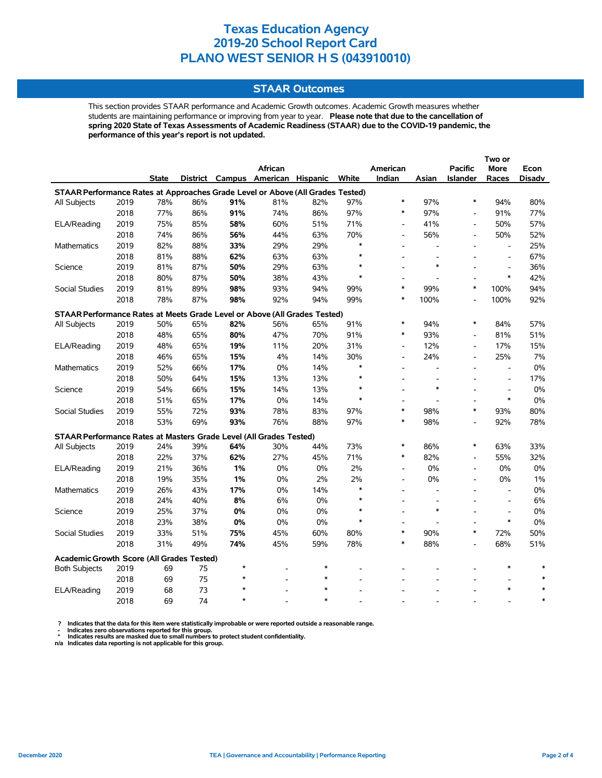### **STAAR Outcomes**

This section provides STAAR performance and Academic Growth outcomes. Academic Growth measures whether students are maintaining performance or improving from year to year. **Please note that due to the cancellation of spring 2020 State of Texas Assessments of Academic Readiness (STAAR) due to the COVID-19 pandemic, the performance of this year's report is not updated.**

|                                                                                |      |              |     |         |                                   |        |        |                          |                          |                          | Two or                   |        |
|--------------------------------------------------------------------------------|------|--------------|-----|---------|-----------------------------------|--------|--------|--------------------------|--------------------------|--------------------------|--------------------------|--------|
|                                                                                |      |              |     |         | African                           |        |        | American                 |                          | <b>Pacific</b>           | More                     | Econ   |
|                                                                                |      | <b>State</b> |     |         | District Campus American Hispanic |        | White  | Indian                   | Asian                    | <b>Islander</b>          | Races                    | Disadv |
| STAAR Performance Rates at Approaches Grade Level or Above (All Grades Tested) |      |              |     |         |                                   |        |        |                          |                          |                          |                          |        |
| All Subjects                                                                   | 2019 | 78%          | 86% | 91%     | 81%                               | 82%    | 97%    | $\ast$                   | 97%                      | $\ast$                   | 94%                      | 80%    |
|                                                                                | 2018 | 77%          | 86% | 91%     | 74%                               | 86%    | 97%    | $\ast$                   | 97%                      | $\overline{a}$           | 91%                      | 77%    |
| ELA/Reading                                                                    | 2019 | 75%          | 85% | 58%     | 60%                               | 51%    | 71%    | $\overline{a}$           | 41%                      | $\overline{\phantom{a}}$ | 50%                      | 57%    |
|                                                                                | 2018 | 74%          | 86% | 56%     | 44%                               | 63%    | 70%    | $\overline{a}$           | 56%                      | $\overline{a}$           | 50%                      | 52%    |
| <b>Mathematics</b>                                                             | 2019 | 82%          | 88% | 33%     | 29%                               | 29%    | $\ast$ |                          |                          |                          | $\overline{\phantom{a}}$ | 25%    |
|                                                                                | 2018 | 81%          | 88% | 62%     | 63%                               | 63%    | $\ast$ |                          |                          |                          | $\overline{\phantom{a}}$ | 67%    |
| Science                                                                        | 2019 | 81%          | 87% | 50%     | 29%                               | 63%    | $\ast$ |                          | $\ast$                   |                          | $\overline{\phantom{a}}$ | 36%    |
|                                                                                | 2018 | 80%          | 87% | 50%     | 38%                               | 43%    | $\ast$ |                          |                          |                          | $\ast$                   | 42%    |
| Social Studies                                                                 | 2019 | 81%          | 89% | 98%     | 93%                               | 94%    | 99%    | $\ast$                   | 99%                      | $\ast$                   | 100%                     | 94%    |
|                                                                                | 2018 | 78%          | 87% | 98%     | 92%                               | 94%    | 99%    | $\ast$                   | 100%                     | $\overline{a}$           | 100%                     | 92%    |
| STAAR Performance Rates at Meets Grade Level or Above (All Grades Tested)      |      |              |     |         |                                   |        |        |                          |                          |                          |                          |        |
| All Subjects                                                                   | 2019 | 50%          | 65% | 82%     | 56%                               | 65%    | 91%    | $\ast$                   | 94%                      | $\ast$                   | 84%                      | 57%    |
|                                                                                | 2018 | 48%          | 65% | 80%     | 47%                               | 70%    | 91%    | $\ast$                   | 93%                      | $\overline{a}$           | 81%                      | 51%    |
| ELA/Reading                                                                    | 2019 | 48%          | 65% | 19%     | 11%                               | 20%    | 31%    | $\blacksquare$           | 12%                      | $\overline{a}$           | 17%                      | 15%    |
|                                                                                | 2018 | 46%          | 65% | 15%     | 4%                                | 14%    | 30%    | $\overline{\phantom{a}}$ | 24%                      | $\overline{a}$           | 25%                      | 7%     |
| <b>Mathematics</b>                                                             | 2019 | 52%          | 66% | 17%     | 0%                                | 14%    | $\ast$ | $\overline{\phantom{a}}$ | $\overline{\phantom{a}}$ | $\overline{\phantom{a}}$ | $\overline{\phantom{a}}$ | 0%     |
|                                                                                | 2018 | 50%          | 64% | 15%     | 13%                               | 13%    | $\ast$ |                          |                          |                          | $\overline{\phantom{a}}$ | 17%    |
| Science                                                                        | 2019 | 54%          | 66% | 15%     | 14%                               | 13%    | $\ast$ |                          | $\ast$                   |                          | $\overline{\phantom{a}}$ | 0%     |
|                                                                                | 2018 | 51%          | 65% | 17%     | 0%                                | 14%    | $\ast$ |                          |                          |                          | $\ast$                   | 0%     |
| Social Studies                                                                 | 2019 | 55%          | 72% | 93%     | 78%                               | 83%    | 97%    | $\ast$                   | 98%                      | *                        | 93%                      | 80%    |
|                                                                                | 2018 | 53%          | 69% | 93%     | 76%                               | 88%    | 97%    | $\ast$                   | 98%                      | $\overline{a}$           | 92%                      | 78%    |
| STAAR Performance Rates at Masters Grade Level (All Grades Tested)             |      |              |     |         |                                   |        |        |                          |                          |                          |                          |        |
| All Subjects                                                                   | 2019 | 24%          | 39% | 64%     | 30%                               | 44%    | 73%    | $\ast$                   | 86%                      | $\ast$                   | 63%                      | 33%    |
|                                                                                | 2018 | 22%          | 37% | 62%     | 27%                               | 45%    | 71%    | $\ast$                   | 82%                      | $\overline{a}$           | 55%                      | 32%    |
| ELA/Reading                                                                    | 2019 | 21%          | 36% | 1%      | 0%                                | 0%     | 2%     | $\overline{a}$           | 0%                       | $\overline{a}$           | 0%                       | 0%     |
|                                                                                | 2018 | 19%          | 35% | 1%      | $0\%$                             | 2%     | 2%     | $\overline{\phantom{a}}$ | 0%                       | $\overline{\phantom{a}}$ | 0%                       | $1\%$  |
| Mathematics                                                                    | 2019 | 26%          | 43% | 17%     | 0%                                | 14%    | $\ast$ | $\overline{a}$           |                          |                          | $\overline{\phantom{a}}$ | 0%     |
|                                                                                | 2018 | 24%          | 40% | 8%      | 6%                                | 0%     | $\ast$ | $\overline{a}$           | $\overline{a}$           | $\overline{a}$           | $\sim$                   | 6%     |
| Science                                                                        | 2019 | 25%          | 37% | 0%      | 0%                                | 0%     | ∗      |                          | $\ast$                   |                          | $\overline{\phantom{a}}$ | 0%     |
|                                                                                | 2018 | 23%          | 38% | 0%      | 0%                                | 0%     | $\ast$ |                          |                          |                          | $\ast$                   | 0%     |
| <b>Social Studies</b>                                                          | 2019 | 33%          | 51% | 75%     | 45%                               | 60%    | 80%    | $\ast$                   | 90%                      | $\ast$                   | 72%                      | 50%    |
|                                                                                | 2018 | 31%          | 49% | 74%     | 45%                               | 59%    | 78%    | $\ast$                   | 88%                      |                          | 68%                      | 51%    |
|                                                                                |      |              |     |         |                                   |        |        |                          |                          |                          |                          |        |
| Academic Growth Score (All Grades Tested)                                      |      |              |     | $\star$ |                                   | $\ast$ |        |                          |                          |                          | $\ast$                   |        |
| <b>Both Subjects</b>                                                           | 2019 | 69           | 75  |         |                                   | $\ast$ |        |                          |                          |                          |                          |        |
|                                                                                | 2018 | 69           | 75  |         |                                   |        |        |                          |                          |                          | $\ast$                   |        |
| ELA/Reading                                                                    | 2019 | 68           | 73  | ÷       |                                   | $\ast$ |        |                          |                          |                          |                          | $\ast$ |
|                                                                                | 2018 | 69           | 74  |         |                                   |        |        |                          |                          |                          |                          |        |

 **? Indicates that the data for this item were statistically improbable or were reported outside a reasonable range.**

- Indicates zero observations reported for this group.<br>\* Indicates results are masked due to small numbers to protect student confidentiality.<br>n/a Indicates data reporting is not applicable for this group.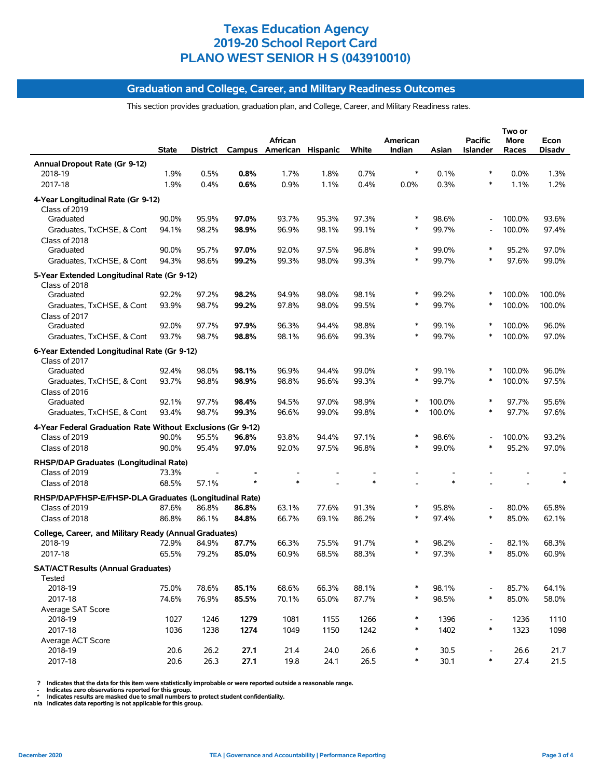### **Graduation and College, Career, and Military Readiness Outcomes**

This section provides graduation, graduation plan, and College, Career, and Military Readiness rates.

|                                                                   | State | District |       | African<br>Campus American Hispanic |       | White | American<br>Indian | Asian  | <b>Pacific</b><br><b>Islander</b> | Two or<br>More<br>Races | Econ<br>Disadv |
|-------------------------------------------------------------------|-------|----------|-------|-------------------------------------|-------|-------|--------------------|--------|-----------------------------------|-------------------------|----------------|
| Annual Dropout Rate (Gr 9-12)                                     |       |          |       |                                     |       |       |                    |        |                                   |                         |                |
| 2018-19                                                           | 1.9%  | 0.5%     | 0.8%  | 1.7%                                | 1.8%  | 0.7%  | ∗                  | 0.1%   | ∗                                 | 0.0%                    | 1.3%           |
| 2017-18                                                           | 1.9%  | 0.4%     | 0.6%  | 0.9%                                | 1.1%  | 0.4%  | 0.0%               | 0.3%   | $\ast$                            | 1.1%                    | 1.2%           |
| 4-Year Longitudinal Rate (Gr 9-12)<br>Class of 2019               |       |          |       |                                     |       |       |                    |        |                                   |                         |                |
| Graduated                                                         | 90.0% | 95.9%    | 97.0% | 93.7%                               | 95.3% | 97.3% | ∗                  | 98.6%  |                                   | 100.0%                  | 93.6%          |
| Graduates, TxCHSE, & Cont                                         | 94.1% | 98.2%    | 98.9% | 96.9%                               | 98.1% | 99.1% | $\ast$             | 99.7%  |                                   | 100.0%                  | 97.4%          |
| Class of 2018<br>Graduated                                        | 90.0% | 95.7%    | 97.0% | 92.0%                               | 97.5% | 96.8% | $\ast$             | 99.0%  | $\ast$                            | 95.2%                   | 97.0%          |
| Graduates, TxCHSE, & Cont                                         | 94.3% | 98.6%    | 99.2% | 99.3%                               | 98.0% | 99.3% | *                  | 99.7%  | $\ast$                            | 97.6%                   | 99.0%          |
| 5-Year Extended Longitudinal Rate (Gr 9-12)                       |       |          |       |                                     |       |       |                    |        |                                   |                         |                |
| Class of 2018<br>Graduated                                        | 92.2% | 97.2%    | 98.2% | 94.9%                               | 98.0% | 98.1% | *                  | 99.2%  |                                   | 100.0%                  | 100.0%         |
| Graduates, TxCHSE, & Cont                                         | 93.9% | 98.7%    | 99.2% | 97.8%                               | 98.0% | 99.5% | *                  | 99.7%  | ∗                                 | 100.0%                  | 100.0%         |
| Class of 2017                                                     |       |          |       |                                     |       |       |                    |        |                                   |                         |                |
| Graduated                                                         | 92.0% | 97.7%    | 97.9% | 96.3%                               | 94.4% | 98.8% | $\ast$             | 99.1%  | $\ast$                            | 100.0%                  | 96.0%          |
| Graduates, TxCHSE, & Cont                                         | 93.7% | 98.7%    | 98.8% | 98.1%                               | 96.6% | 99.3% | *                  | 99.7%  | *                                 | 100.0%                  | 97.0%          |
| 6-Year Extended Longitudinal Rate (Gr 9-12)<br>Class of 2017      |       |          |       |                                     |       |       |                    |        |                                   |                         |                |
| Graduated                                                         | 92.4% | 98.0%    | 98.1% | 96.9%                               | 94.4% | 99.0% | ∗                  | 99.1%  | ∗                                 | 100.0%                  | 96.0%          |
| Graduates, TxCHSE, & Cont                                         | 93.7% | 98.8%    | 98.9% | 98.8%                               | 96.6% | 99.3% | $\ast$             | 99.7%  | ∗                                 | 100.0%                  | 97.5%          |
| Class of 2016                                                     |       |          |       |                                     |       |       |                    |        |                                   |                         |                |
| Graduated                                                         | 92.1% | 97.7%    | 98.4% | 94.5%                               | 97.0% | 98.9% | $\ast$             | 100.0% | $\ast$                            | 97.7%                   | 95.6%          |
| Graduates, TxCHSE, & Cont                                         | 93.4% | 98.7%    | 99.3% | 96.6%                               | 99.0% | 99.8% | *                  | 100.0% | $\ast$                            | 97.7%                   | 97.6%          |
| 4-Year Federal Graduation Rate Without Exclusions (Gr 9-12)       |       |          |       |                                     |       |       |                    |        |                                   |                         |                |
| Class of 2019                                                     | 90.0% | 95.5%    | 96.8% | 93.8%                               | 94.4% | 97.1% | $\ast$             | 98.6%  |                                   | 100.0%                  | 93.2%          |
| Class of 2018                                                     | 90.0% | 95.4%    | 97.0% | 92.0%                               | 97.5% | 96.8% | *                  | 99.0%  | *                                 | 95.2%                   | 97.0%          |
| RHSP/DAP Graduates (Longitudinal Rate)                            |       |          |       |                                     |       |       |                    |        |                                   |                         |                |
| Class of 2019                                                     | 73.3% |          |       |                                     |       |       |                    |        |                                   |                         |                |
| Class of 2018                                                     | 68.5% | 57.1%    |       |                                     |       |       |                    | $\ast$ |                                   |                         |                |
| RHSP/DAP/FHSP-E/FHSP-DLA Graduates (Longitudinal Rate)            |       |          |       |                                     |       |       |                    |        |                                   |                         |                |
| Class of 2019                                                     | 87.6% | 86.8%    | 86.8% | 63.1%                               | 77.6% | 91.3% | *                  | 95.8%  |                                   | 80.0%                   | 65.8%          |
| Class of 2018                                                     | 86.8% | 86.1%    | 84.8% | 66.7%                               | 69.1% | 86.2% | *                  | 97.4%  | ∗                                 | 85.0%                   | 62.1%          |
| College, Career, and Military Ready (Annual Graduates)<br>2018-19 | 72.9% | 84.9%    | 87.7% | 66.3%                               | 75.5% | 91.7% | $\ast$             | 98.2%  |                                   | 82.1%                   | 68.3%          |
| 2017-18                                                           | 65.5% | 79.2%    | 85.0% | 60.9%                               | 68.5% | 88.3% |                    | 97.3%  |                                   | 85.0%                   | 60.9%          |
|                                                                   |       |          |       |                                     |       |       |                    |        |                                   |                         |                |
| <b>SAT/ACT Results (Annual Graduates)</b><br>Tested               |       |          |       |                                     |       |       |                    |        |                                   |                         |                |
| 2018-19                                                           | 75.0% | 78.6%    | 85.1% | 68.6%                               | 66.3% | 88.1% | *                  | 98.1%  |                                   | 85.7%                   | 64.1%          |
| 2017-18                                                           | 74.6% | 76.9%    | 85.5% | 70.1%                               | 65.0% | 87.7% | $\ast$             | 98.5%  | $\ast$                            | 85.0%                   | 58.0%          |
| Average SAT Score                                                 |       |          |       |                                     |       |       |                    |        |                                   |                         |                |
| 2018-19                                                           | 1027  | 1246     | 1279  | 1081                                | 1155  | 1266  | ∗                  | 1396   | $\overline{\phantom{a}}$          | 1236                    | 1110           |
| 2017-18                                                           | 1036  | 1238     | 1274  | 1049                                | 1150  | 1242  | $\ast$             | 1402   | $\ast$                            | 1323                    | 1098           |
| Average ACT Score<br>2018-19                                      | 20.6  | 26.2     | 27.1  | 21.4                                | 24.0  | 26.6  | ∗                  | 30.5   | $\overline{\phantom{a}}$          | 26.6                    | 21.7           |
| 2017-18                                                           | 20.6  | 26.3     | 27.1  | 19.8                                | 24.1  | 26.5  | ∗                  | 30.1   | $\ast$                            | 27.4                    | 21.5           |
|                                                                   |       |          |       |                                     |       |       |                    |        |                                   |                         |                |

? Indicates that the data for this item were statistically improbable or were reported outside a reasonable range.<br>- Indicates zero observations reported for this group.<br>\* Indicates results are masked due to small numbers